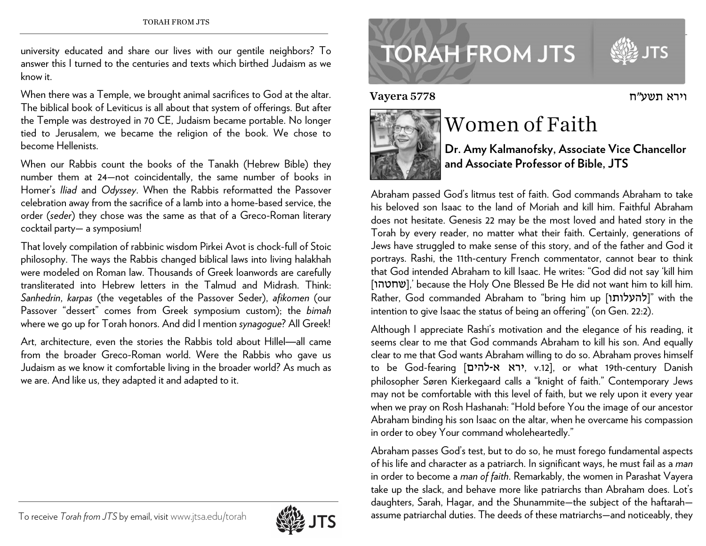university educated and share our lives with our gentile neighbors? To answer this I turned to the centuries and texts which birthed Judaism as we know it.

When there was a Temple, we brought animal sacrifices to God at the altar. The biblical book of Leviticus is all about that system of offerings. But after the Temple was destroyed in 70 CE, Judaism became portable. No longer tied to Jerusalem, we became the religion of the book. We chose to become Hellenists.

When our Rabbis count the books of the Tanakh (Hebrew Bible) they number them at 24—not coincidentally, the same number of books in Homer's *Iliad* and *Odyssey*. When the Rabbis reformatted the Passover celebration away from the sacrifice of a lamb into a home-based service, the order (*seder*) they chose was the same as that of a Greco-Roman literary cocktail party— a symposium!

That lovely compilation of rabbinic wisdom Pirkei Avot is chock-full of Stoic <sup>p</sup>hilosophy. The ways the Rabbis changed biblical laws into living halakhah were modeled on Roman law. Thousands of Greek loanwords are carefully transliterated into Hebrew letters in the Talmud and Midrash. Think: *Sanhedrin*, *karpas* (the vegetables of the Passover Seder), *afikomen* (our Passover "dessert" comes from Greek symposium custom); the *bimah* where we go up for Torah honors. And did I mention *synagogue*? All Greek!

Art, architecture, even the stories the Rabbis told about Hillel—all came from the broader Greco-Roman world. Were the Rabbis who gave us Judaism as we know it comfortable living in the broader world? As much as we are. And like us, they adapted it and adapted to it.



Vayera 5778



## Women of Faith

**Dr. Amy Kalmanofsky, Associate Vice Chancellor and Associate Professor of Bible, JTS** 

וירא

Abraham passed God's litmus test of faith. God commands Abraham to take his beloved son Isaac to the land of Moriah and kill him. Faithful Abraham does not hesitate. Genesis 22 may be the most loved and hated story in the Torah by every reader, no matter what their faith. Certainly, generations of Jews have struggled to make sense of this story, and of the father and God it portrays. Rashi, the 11th-century French commentator, cannot bear to think that God intended Abraham to kill Isaac. He writes: "God did not say 'kill him [שחטהו[, 'because the Holy One Blessed Be He did not want him to kill him. Rather, God commanded Abraham to "bring him up [להעלותו "|with the intention to give Isaac the status of being an offering" (on Gen. 22:2).

Although I appreciate Rashi's motivation and the elegance of his reading, it seems clear to me that God commands Abraham to kill his son. And equally clear to me that God wants Abraham willing to do so. Abraham proves himself to be God-fearing [להים-<sup>א</sup> ירא, v.12], or what 19th-century Danish <sup>p</sup>hilosopher Søren Kierkegaard calls a "knight of faith." Contemporary Jews may not be comfortable with this level of faith, but we rely upon it every year when we pray on Rosh Hashanah: "Hold before You the image of our ancestor Abraham binding his son Isaac on the altar, when he overcame his compassion in order to obey Your command wholeheartedly."

Abraham passes God's test, but to do so, he must forego fundamental aspects of his life and character as a patriarch. In significant ways, he must fail as a *man* in order to become a *man of faith*. Remarkably, the women in Parashat Vayera take up the slack, and behave more like patriarchs than Abraham does. Lot's daughters, Sarah, Hagar, and the Shunammite—the subject of the haftarah assume patriarchal duties. The deeds of these matriarchs—and noticeably, they